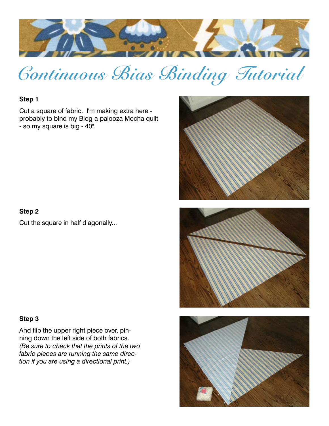

# **Continuous Bias Binding Tutorial**

## **Step 1**

Cut a square of fabric. I'm making extra here probably to bind my Blog-a-palooza Mocha quilt - so my square is big - 40".

### **Step 2**

Cut the square in half diagonally...

#### **Step 3**

And flip the upper right piece over, pinning down the left side of both fabrics. *(Be sure to check that the prints of the two fabric pieces are running the same direction if you are using a directional print.)*